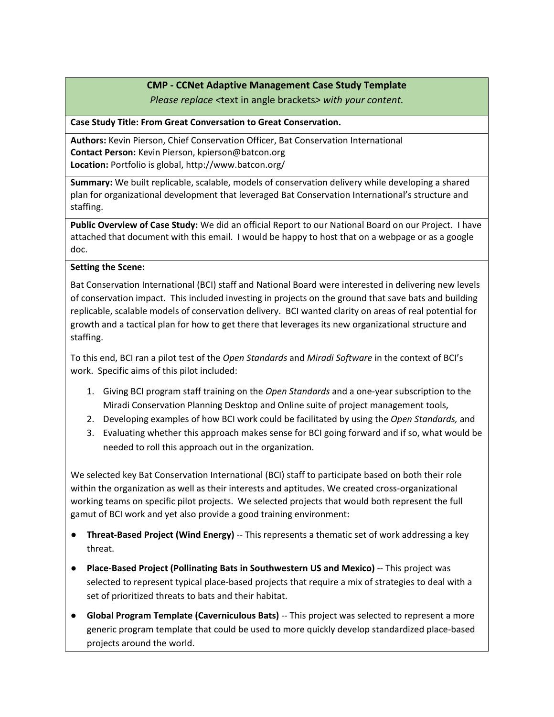## **CMP - CCNet Adaptive Management Case Study Template**

*Please replace <*text in angle brackets*> with your content.*

### **Case Study Title: From Great Conversation to Great Conservation.**

**Authors:** Kevin Pierson, Chief Conservation Officer, Bat Conservation International **Contact Person:** Kevin Pierson, kpierson@batcon.org **Location:** Portfolio is global, http://www.batcon.org/

**Summary:** We built replicable, scalable, models of conservation delivery while developing a shared plan for organizational development that leveraged Bat Conservation International's structure and staffing.

**Public Overview of Case Study:** We did an official Report to our National Board on our Project. I have attached that document with this email. I would be happy to host that on a webpage or as a google doc.

## **Setting the Scene:**

Bat Conservation International (BCI) staff and National Board were interested in delivering new levels of conservation impact. This included investing in projects on the ground that save bats and building replicable, scalable models of conservation delivery. BCI wanted clarity on areas of real potential for growth and a tactical plan for how to get there that leverages its new organizational structure and staffing.

To this end, BCI ran a pilot test of the *Open Standards* and *Miradi Software* in the context of BCI's work. Specific aims of this pilot included:

- 1. Giving BCI program staff training on the *Open Standards* and a one-year subscription to the Miradi Conservation Planning Desktop and Online suite of project management tools,
- 2. Developing examples of how BCI work could be facilitated by using the *Open Standards,* and
- 3. Evaluating whether this approach makes sense for BCI going forward and if so, what would be needed to roll this approach out in the organization.

We selected key Bat Conservation International (BCI) staff to participate based on both their role within the organization as well as their interests and aptitudes. We created cross-organizational working teams on specific pilot projects. We selected projects that would both represent the full gamut of BCI work and yet also provide a good training environment:

- **Threat-Based Project (Wind Energy)** -- This represents a thematic set of work addressing a key threat.
- **Place-Based Project (Pollinating Bats in Southwestern US and Mexico)** -- This project was selected to represent typical place-based projects that require a mix of strategies to deal with a set of prioritized threats to bats and their habitat.
- **Global Program Template (Caverniculous Bats)** -- This project was selected to represent a more generic program template that could be used to more quickly develop standardized place-based projects around the world.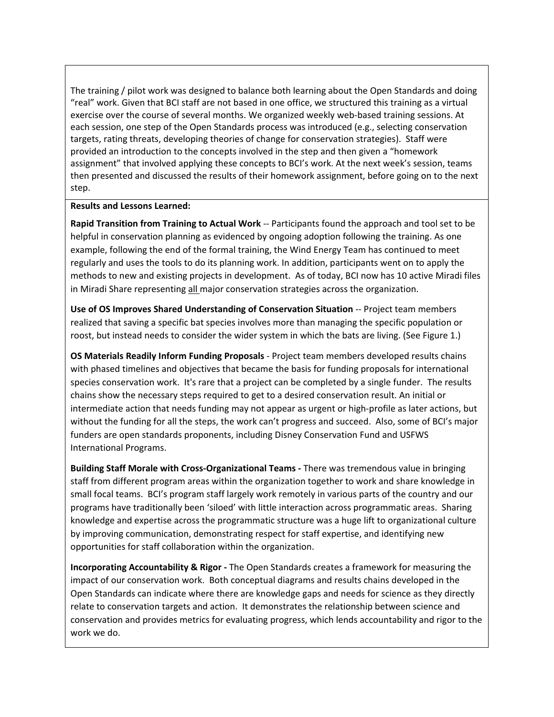The training / pilot work was designed to balance both learning about the Open Standards and doing "real" work. Given that BCI staff are not based in one office, we structured this training as a virtual exercise over the course of several months. We organized weekly web-based training sessions. At each session, one step of the Open Standards process was introduced (e.g., selecting conservation targets, rating threats, developing theories of change for conservation strategies). Staff were provided an introduction to the concepts involved in the step and then given a "homework assignment" that involved applying these concepts to BCI's work. At the next week's session, teams then presented and discussed the results of their homework assignment, before going on to the next step.

#### **Results and Lessons Learned:**

**Rapid Transition from Training to Actual Work** -- Participants found the approach and tool set to be helpful in conservation planning as evidenced by ongoing adoption following the training. As one example, following the end of the formal training, the Wind Energy Team has continued to meet regularly and uses the tools to do its planning work. In addition, participants went on to apply the methods to new and existing projects in development. As of today, BCI now has 10 active Miradi files in Miradi Share representing all major conservation strategies across the organization.

**Use of OS Improves Shared Understanding of Conservation Situation** -- Project team members realized that saving a specific bat species involves more than managing the specific population or roost, but instead needs to consider the wider system in which the bats are living. (See Figure 1.)

**OS Materials Readily Inform Funding Proposals** - Project team members developed results chains with phased timelines and objectives that became the basis for funding proposals for international species conservation work. It's rare that a project can be completed by a single funder. The results chains show the necessary steps required to get to a desired conservation result. An initial or intermediate action that needs funding may not appear as urgent or high-profile as later actions, but without the funding for all the steps, the work can't progress and succeed. Also, some of BCI's major funders are open standards proponents, including Disney Conservation Fund and USFWS International Programs.

**Building Staff Morale with Cross-Organizational Teams -** There was tremendous value in bringing staff from different program areas within the organization together to work and share knowledge in small focal teams. BCI's program staff largely work remotely in various parts of the country and our programs have traditionally been 'siloed' with little interaction across programmatic areas. Sharing knowledge and expertise across the programmatic structure was a huge lift to organizational culture by improving communication, demonstrating respect for staff expertise, and identifying new opportunities for staff collaboration within the organization.

**Incorporating Accountability & Rigor -** The Open Standards creates a framework for measuring the impact of our conservation work. Both conceptual diagrams and results chains developed in the Open Standards can indicate where there are knowledge gaps and needs for science as they directly relate to conservation targets and action. It demonstrates the relationship between science and conservation and provides metrics for evaluating progress, which lends accountability and rigor to the work we do.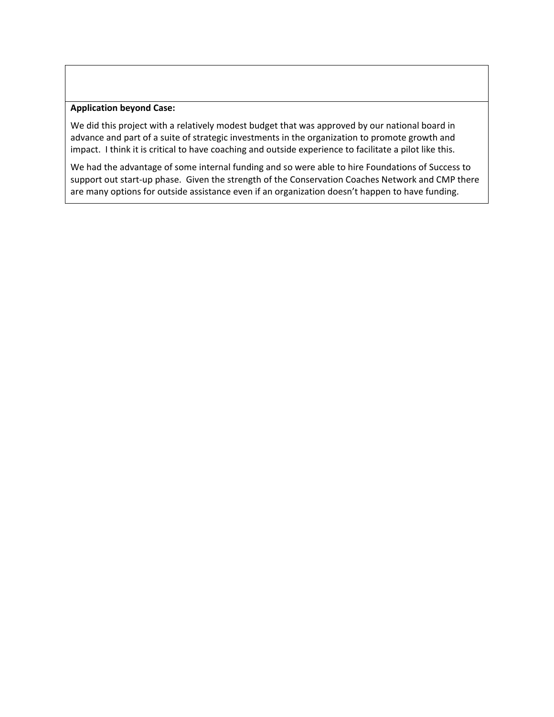#### **Application beyond Case:**

We did this project with a relatively modest budget that was approved by our national board in advance and part of a suite of strategic investments in the organization to promote growth and impact. I think it is critical to have coaching and outside experience to facilitate a pilot like this.

We had the advantage of some internal funding and so were able to hire Foundations of Success to support out start-up phase. Given the strength of the Conservation Coaches Network and CMP there are many options for outside assistance even if an organization doesn't happen to have funding.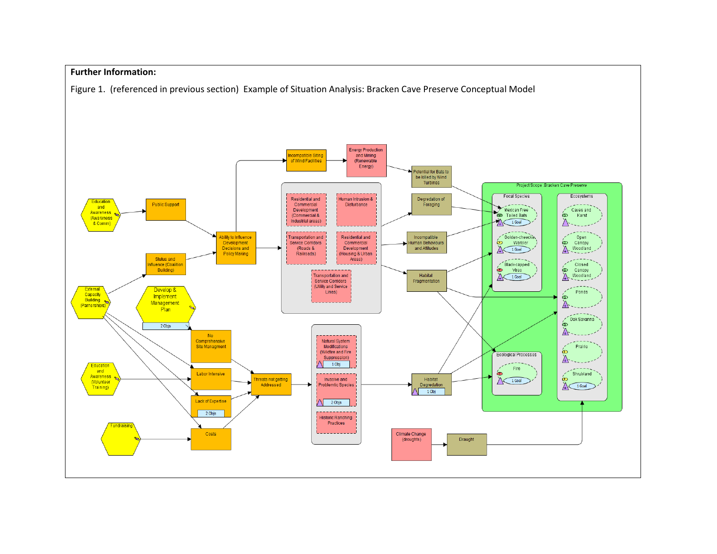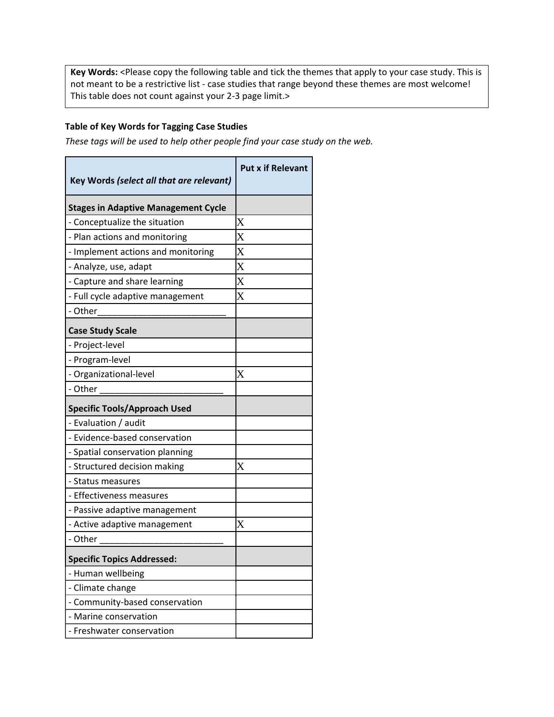**Key Words:** <Please copy the following table and tick the themes that apply to your case study. This is not meant to be a restrictive list - case studies that range beyond these themes are most welcome! This table does not count against your 2-3 page limit.>

# **Table of Key Words for Tagging Case Studies**

*These tags will be used to help other people find your case study on the web.*

| Key Words (select all that are relevant)   | <b>Put x if Relevant</b> |
|--------------------------------------------|--------------------------|
| <b>Stages in Adaptive Management Cycle</b> |                          |
| - Conceptualize the situation              | $\rm X$                  |
| - Plan actions and monitoring              | $\rm\overline{X}$        |
| - Implement actions and monitoring         | $\overline{\mathrm{X}}$  |
| - Analyze, use, adapt                      | X                        |
| - Capture and share learning               | $\rm\overline{X}$        |
| - Full cycle adaptive management           | $\rm\overline{X}$        |
| - Other                                    |                          |
| <b>Case Study Scale</b>                    |                          |
| - Project-level                            |                          |
| - Program-level                            |                          |
| - Organizational-level                     | $\rm\overline{X}$        |
| - Other                                    |                          |
| <b>Specific Tools/Approach Used</b>        |                          |
| - Evaluation / audit                       |                          |
| - Evidence-based conservation              |                          |
| - Spatial conservation planning            |                          |
| - Structured decision making               | $\rm\overline{X}$        |
| - Status measures                          |                          |
| - Effectiveness measures                   |                          |
| - Passive adaptive management              |                          |
| - Active adaptive management               | X                        |
| - Other                                    |                          |
| <b>Specific Topics Addressed:</b>          |                          |
| - Human wellbeing                          |                          |
| - Climate change                           |                          |
| - Community-based conservation             |                          |
| - Marine conservation                      |                          |
| - Freshwater conservation                  |                          |